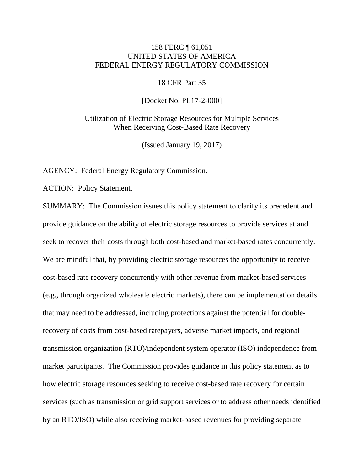# 158 FERC ¶ 61,051 UNITED STATES OF AMERICA FEDERAL ENERGY REGULATORY COMMISSION

#### 18 CFR Part 35

[Docket No. PL17-2-000]

Utilization of Electric Storage Resources for Multiple Services When Receiving Cost-Based Rate Recovery

(Issued January 19, 2017)

AGENCY: Federal Energy Regulatory Commission.

ACTION: Policy Statement.

SUMMARY: The Commission issues this policy statement to clarify its precedent and provide guidance on the ability of electric storage resources to provide services at and seek to recover their costs through both cost-based and market-based rates concurrently. We are mindful that, by providing electric storage resources the opportunity to receive cost-based rate recovery concurrently with other revenue from market-based services (e.g., through organized wholesale electric markets), there can be implementation details that may need to be addressed, including protections against the potential for doublerecovery of costs from cost-based ratepayers, adverse market impacts, and regional transmission organization (RTO)/independent system operator (ISO) independence from market participants. The Commission provides guidance in this policy statement as to how electric storage resources seeking to receive cost-based rate recovery for certain services (such as transmission or grid support services or to address other needs identified by an RTO/ISO) while also receiving market-based revenues for providing separate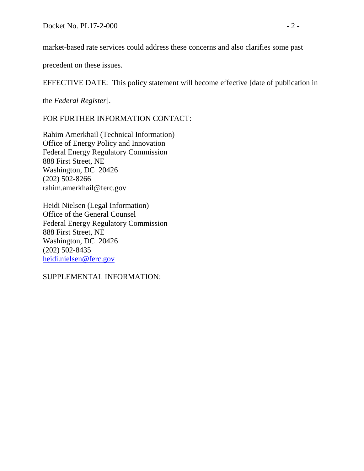market-based rate services could address these concerns and also clarifies some past

precedent on these issues.

EFFECTIVE DATE: This policy statement will become effective [date of publication in

the *Federal Register*].

FOR FURTHER INFORMATION CONTACT:

Rahim Amerkhail (Technical Information) Office of Energy Policy and Innovation Federal Energy Regulatory Commission 888 First Street, NE Washington, DC 20426 (202) 502-8266 rahim.amerkhail@ferc.gov

Heidi Nielsen (Legal Information) Office of the General Counsel Federal Energy Regulatory Commission 888 First Street, NE Washington, DC 20426 (202) 502-8435 [heidi.nielsen@ferc.gov](mailto:heidi.nielsen@ferc.gov)

SUPPLEMENTAL INFORMATION: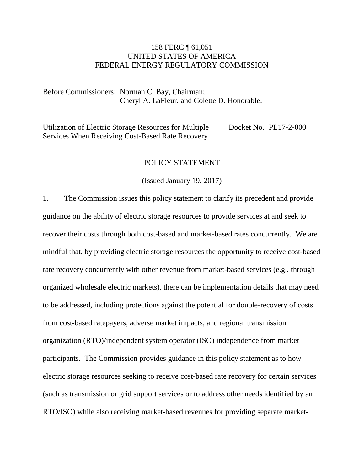# 158 FERC ¶ 61,051 UNITED STATES OF AMERICA FEDERAL ENERGY REGULATORY COMMISSION

Before Commissioners: Norman C. Bay, Chairman; Cheryl A. LaFleur, and Colette D. Honorable.

Utilization of Electric Storage Resources for Multiple Services When Receiving Cost-Based Rate Recovery Docket No. PL17-2-000

#### POLICY STATEMENT

(Issued January 19, 2017)

1. The Commission issues this policy statement to clarify its precedent and provide guidance on the ability of electric storage resources to provide services at and seek to recover their costs through both cost-based and market-based rates concurrently. We are mindful that, by providing electric storage resources the opportunity to receive cost-based rate recovery concurrently with other revenue from market-based services (e.g., through organized wholesale electric markets), there can be implementation details that may need to be addressed, including protections against the potential for double-recovery of costs from cost-based ratepayers, adverse market impacts, and regional transmission organization (RTO)/independent system operator (ISO) independence from market participants. The Commission provides guidance in this policy statement as to how electric storage resources seeking to receive cost-based rate recovery for certain services (such as transmission or grid support services or to address other needs identified by an RTO/ISO) while also receiving market-based revenues for providing separate market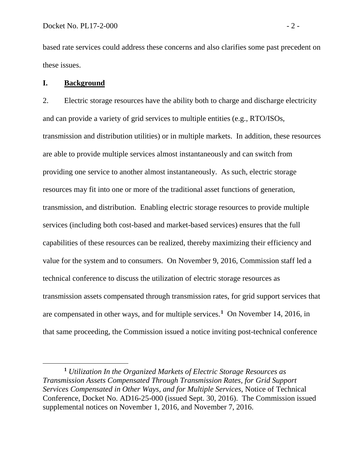based rate services could address these concerns and also clarifies some past precedent on these issues.

## **I. Background**

 $\overline{a}$ 

2. Electric storage resources have the ability both to charge and discharge electricity and can provide a variety of grid services to multiple entities (e.g., RTO/ISOs, transmission and distribution utilities) or in multiple markets. In addition, these resources are able to provide multiple services almost instantaneously and can switch from providing one service to another almost instantaneously. As such, electric storage resources may fit into one or more of the traditional asset functions of generation, transmission, and distribution. Enabling electric storage resources to provide multiple services (including both cost-based and market-based services) ensures that the full capabilities of these resources can be realized, thereby maximizing their efficiency and value for the system and to consumers. On November 9, 2016, Commission staff led a technical conference to discuss the utilization of electric storage resources as transmission assets compensated through transmission rates, for grid support services that are compensated in other ways, and for multiple services.**[1](#page-3-0)** On November 14, 2016, in that same proceeding, the Commission issued a notice inviting post-technical conference

<span id="page-3-0"></span>**<sup>1</sup>** *Utilization In the Organized Markets of Electric Storage Resources as Transmission Assets Compensated Through Transmission Rates, for Grid Support Services Compensated in Other Ways, and for Multiple Services*, Notice of Technical Conference, Docket No. AD16-25-000 (issued Sept. 30, 2016). The Commission issued supplemental notices on November 1, 2016, and November 7, 2016.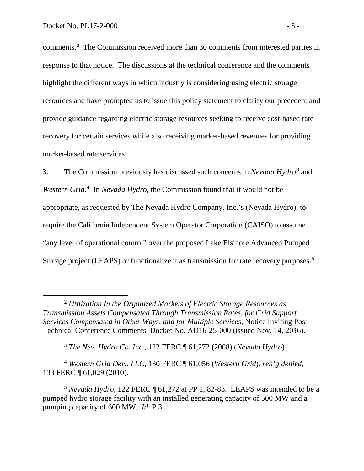comments.**[2](#page-4-0)** The Commission received more than 30 comments from interested parties in response to that notice. The discussions at the technical conference and the comments highlight the different ways in which industry is considering using electric storage resources and have prompted us to issue this policy statement to clarify our precedent and provide guidance regarding electric storage resources seeking to receive cost-based rate recovery for certain services while also receiving market-based revenues for providing market-based rate services.

3. The Commission previously has discussed such concerns in *Nevada Hydro[3](#page-4-1)* and *Western Grid*. **[4](#page-4-2)** In *Nevada Hydro*, the Commission found that it would not be appropriate, as requested by The Nevada Hydro Company, Inc.'s (Nevada Hydro), to require the California Independent System Operator Corporation (CAISO) to assume "any level of operational control" over the proposed Lake Elsinore Advanced Pumped Storage project (LEAPS) or functionalize it as transmission for rate recovery purposes. **[5](#page-4-3)**

**<sup>3</sup>** *The Nev. Hydro Co. Inc.*, 122 FERC ¶ 61,272 (2008) (*Nevada Hydro*).

<span id="page-4-2"></span><span id="page-4-1"></span>**<sup>4</sup>** *Western Grid Dev.*, *LLC*, 130 FERC ¶ 61,056 (*Western Grid*), *reh'g denied*, 133 FERC ¶ 61,029 (2010).

<span id="page-4-0"></span>**<sup>2</sup>** *Utilization In the Organized Markets of Electric Storage Resources as Transmission Assets Compensated Through Transmission Rates, for Grid Support Services Compensated in Other Ways, and for Multiple Services*, Notice Inviting Post-Technical Conference Comments, Docket No. AD16-25-000 (issued Nov. 14, 2016).

<span id="page-4-3"></span>**<sup>5</sup>** *Nevada Hydro*, 122 FERC ¶ 61,272 at PP 1, 82-83. LEAPS was intended to be a pumped hydro storage facility with an installed generating capacity of 500 MW and a pumping capacity of 600 MW. *Id*. P 3.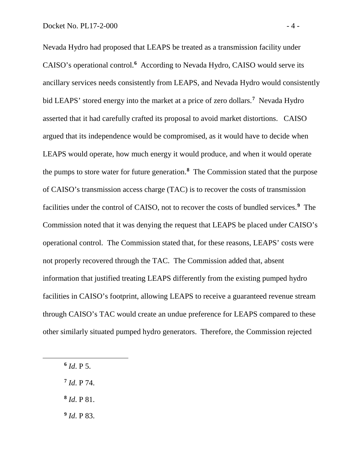Nevada Hydro had proposed that LEAPS be treated as a transmission facility under CAISO's operational control.<sup>[6](#page-5-0)</sup> According to Nevada Hydro, CAISO would serve its ancillary services needs consistently from LEAPS, and Nevada Hydro would consistently bid LEAPS' stored energy into the market at a price of zero dollars. **[7](#page-5-1)** Nevada Hydro asserted that it had carefully crafted its proposal to avoid market distortions. CAISO argued that its independence would be compromised, as it would have to decide when LEAPS would operate, how much energy it would produce, and when it would operate the pumps to store water for future generation.**[8](#page-5-2)** The Commission stated that the purpose of CAISO's transmission access charge (TAC) is to recover the costs of transmission facilities under the control of CAISO, not to recover the costs of bundled services.**[9](#page-5-3)** The Commission noted that it was denying the request that LEAPS be placed under CAISO's operational control. The Commission stated that, for these reasons, LEAPS' costs were not properly recovered through the TAC. The Commission added that, absent information that justified treating LEAPS differently from the existing pumped hydro facilities in CAISO's footprint, allowing LEAPS to receive a guaranteed revenue stream through CAISO's TAC would create an undue preference for LEAPS compared to these other similarly situated pumped hydro generators. Therefore, the Commission rejected

<span id="page-5-0"></span>**<sup>6</sup>** *Id*. P 5.

- <span id="page-5-1"></span>**<sup>7</sup>** *Id*. P 74.
- <span id="page-5-2"></span>**<sup>8</sup>** *Id*. P 81.
- <span id="page-5-3"></span>**<sup>9</sup>** *Id*. P 83.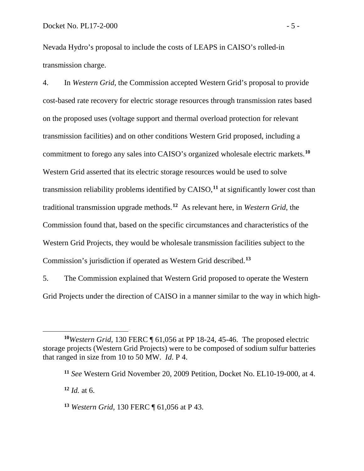Nevada Hydro's proposal to include the costs of LEAPS in CAISO's rolled-in transmission charge.

4. In *Western Grid*, the Commission accepted Western Grid's proposal to provide cost-based rate recovery for electric storage resources through transmission rates based on the proposed uses (voltage support and thermal overload protection for relevant transmission facilities) and on other conditions Western Grid proposed, including a commitment to forego any sales into CAISO's organized wholesale electric markets.**[10](#page-6-0)** Western Grid asserted that its electric storage resources would be used to solve transmission reliability problems identified by CAISO,**[11](#page-6-1)** at significantly lower cost than traditional transmission upgrade methods.**[12](#page-6-2)** As relevant here, in *Western Grid*, the Commission found that, based on the specific circumstances and characteristics of the Western Grid Projects, they would be wholesale transmission facilities subject to the Commission's jurisdiction if operated as Western Grid described.**[13](#page-6-3)**

5. The Commission explained that Western Grid proposed to operate the Western Grid Projects under the direction of CAISO in a manner similar to the way in which high-

<span id="page-6-2"></span> $12$  *Id.* at 6.

<span id="page-6-1"></span><span id="page-6-0"></span>**<sup>10</sup>***Western Grid,* 130 FERC ¶ 61,056 at PP 18-24, 45-46. The proposed electric storage projects (Western Grid Projects) were to be composed of sodium sulfur batteries that ranged in size from 10 to 50 MW. *Id*. P 4.

**<sup>11</sup>** *See* Western Grid November 20, 2009 Petition, Docket No. EL10-19-000, at 4.

<span id="page-6-3"></span>**<sup>13</sup>** *Western Grid,* 130 FERC ¶ 61,056 at P 43.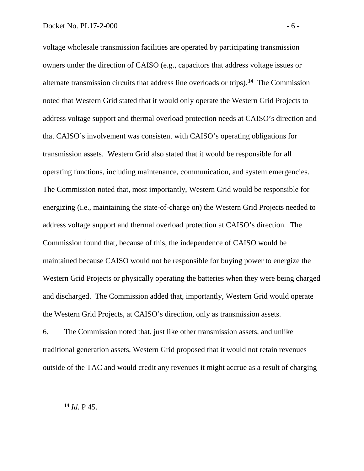voltage wholesale transmission facilities are operated by participating transmission owners under the direction of CAISO (e.g., capacitors that address voltage issues or alternate transmission circuits that address line overloads or trips). **[14](#page-7-0)** The Commission noted that Western Grid stated that it would only operate the Western Grid Projects to address voltage support and thermal overload protection needs at CAISO's direction and that CAISO's involvement was consistent with CAISO's operating obligations for transmission assets. Western Grid also stated that it would be responsible for all operating functions, including maintenance, communication, and system emergencies. The Commission noted that, most importantly, Western Grid would be responsible for energizing (i.e., maintaining the state-of-charge on) the Western Grid Projects needed to address voltage support and thermal overload protection at CAISO's direction. The Commission found that, because of this, the independence of CAISO would be maintained because CAISO would not be responsible for buying power to energize the Western Grid Projects or physically operating the batteries when they were being charged and discharged. The Commission added that, importantly, Western Grid would operate the Western Grid Projects, at CAISO's direction, only as transmission assets.

6. The Commission noted that, just like other transmission assets, and unlike traditional generation assets, Western Grid proposed that it would not retain revenues outside of the TAC and would credit any revenues it might accrue as a result of charging

<span id="page-7-0"></span>**<sup>14</sup>** *Id*. P 45.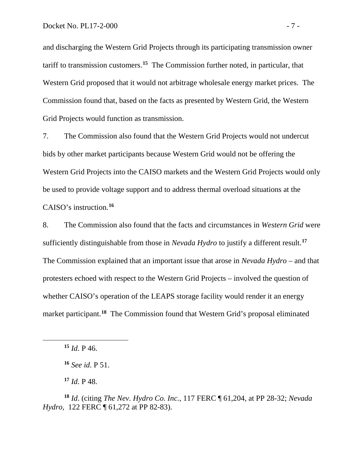and discharging the Western Grid Projects through its participating transmission owner tariff to transmission customers. **[15](#page-8-0)** The Commission further noted, in particular, that Western Grid proposed that it would not arbitrage wholesale energy market prices. The Commission found that, based on the facts as presented by Western Grid, the Western Grid Projects would function as transmission.

7. The Commission also found that the Western Grid Projects would not undercut bids by other market participants because Western Grid would not be offering the Western Grid Projects into the CAISO markets and the Western Grid Projects would only be used to provide voltage support and to address thermal overload situations at the CAISO's instruction.**[16](#page-8-1)**

8. The Commission also found that the facts and circumstances in *Western Grid* were sufficiently distinguishable from those in *Nevada Hydro* to justify a different result.**[17](#page-8-2)** The Commission explained that an important issue that arose in *Nevada Hydro* – and that protesters echoed with respect to the Western Grid Projects – involved the question of whether CAISO's operation of the LEAPS storage facility would render it an energy market participant.**[18](#page-8-3)** The Commission found that Western Grid's proposal eliminated

<span id="page-8-1"></span><span id="page-8-0"></span> $\overline{a}$ 

**<sup>17</sup>** *Id*. P 48.

<span id="page-8-3"></span><span id="page-8-2"></span>**<sup>18</sup>** *Id*. (citing *The Nev. Hydro Co. Inc.*, 117 FERC ¶ 61,204, at PP 28-32; *Nevada Hydro*, 122 FERC ¶ 61,272 at PP 82-83).

**<sup>15</sup>** *Id*. P 46.

**<sup>16</sup>** *See id*. P 51.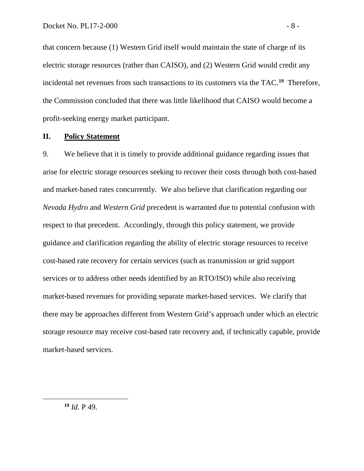that concern because (1) Western Grid itself would maintain the state of charge of its electric storage resources (rather than CAISO), and (2) Western Grid would credit any incidental net revenues from such transactions to its customers via the TAC. **[19](#page-9-0)** Therefore, the Commission concluded that there was little likelihood that CAISO would become a profit-seeking energy market participant.

#### **II. Policy Statement**

9. We believe that it is timely to provide additional guidance regarding issues that arise for electric storage resources seeking to recover their costs through both cost-based and market-based rates concurrently. We also believe that clarification regarding our *Nevada Hydro* and *Western Grid* precedent is warranted due to potential confusion with respect to that precedent. Accordingly, through this policy statement, we provide guidance and clarification regarding the ability of electric storage resources to receive cost-based rate recovery for certain services (such as transmission or grid support services or to address other needs identified by an RTO/ISO) while also receiving market-based revenues for providing separate market-based services. We clarify that there may be approaches different from Western Grid's approach under which an electric storage resource may receive cost-based rate recovery and, if technically capable, provide market-based services.

<span id="page-9-0"></span>**<sup>19</sup>** *Id*. P 49.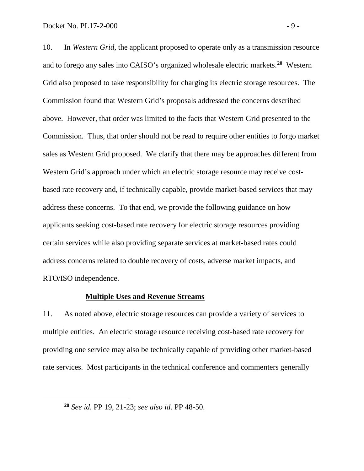10. In *Western Grid*, the applicant proposed to operate only as a transmission resource and to forego any sales into CAISO's organized wholesale electric markets.**[20](#page-10-0)** Western Grid also proposed to take responsibility for charging its electric storage resources. The Commission found that Western Grid's proposals addressed the concerns described above. However, that order was limited to the facts that Western Grid presented to the Commission. Thus, that order should not be read to require other entities to forgo market sales as Western Grid proposed. We clarify that there may be approaches different from Western Grid's approach under which an electric storage resource may receive costbased rate recovery and, if technically capable, provide market-based services that may address these concerns. To that end, we provide the following guidance on how applicants seeking cost-based rate recovery for electric storage resources providing certain services while also providing separate services at market-based rates could address concerns related to double recovery of costs, adverse market impacts, and RTO/ISO independence.

#### **Multiple Uses and Revenue Streams**

11. As noted above, electric storage resources can provide a variety of services to multiple entities. An electric storage resource receiving cost-based rate recovery for providing one service may also be technically capable of providing other market-based rate services. Most participants in the technical conference and commenters generally

<span id="page-10-0"></span>**<sup>20</sup>** *See id*. PP 19, 21-23; *see also id.* PP 48-50.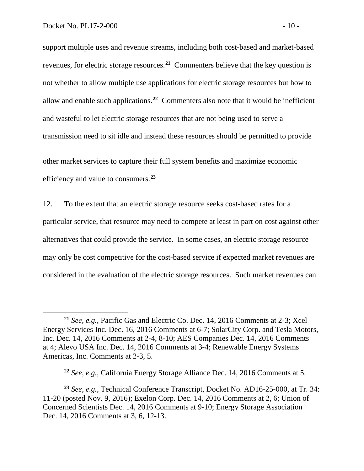support multiple uses and revenue streams, including both cost-based and market-based revenues, for electric storage resources.**[21](#page-11-0)** Commenters believe that the key question is not whether to allow multiple use applications for electric storage resources but how to allow and enable such applications.**[22](#page-11-1)** Commenters also note that it would be inefficient and wasteful to let electric storage resources that are not being used to serve a transmission need to sit idle and instead these resources should be permitted to provide

other market services to capture their full system benefits and maximize economic efficiency and value to consumers.**[23](#page-11-2)**

12. To the extent that an electric storage resource seeks cost-based rates for a particular service, that resource may need to compete at least in part on cost against other alternatives that could provide the service. In some cases, an electric storage resource may only be cost competitive for the cost-based service if expected market revenues are considered in the evaluation of the electric storage resources. Such market revenues can

<span id="page-11-0"></span>**<sup>21</sup>** *See, e.g.*, Pacific Gas and Electric Co. Dec. 14, 2016 Comments at 2-3; Xcel Energy Services Inc. Dec. 16, 2016 Comments at 6-7; SolarCity Corp. and Tesla Motors, Inc. Dec. 14, 2016 Comments at 2-4, 8-10; AES Companies Dec. 14, 2016 Comments at 4; Alevo USA Inc. Dec. 14, 2016 Comments at 3-4; Renewable Energy Systems Americas, Inc. Comments at 2-3, 5.

**<sup>22</sup>** *See, e.g.*, California Energy Storage Alliance Dec. 14, 2016 Comments at 5.

<span id="page-11-2"></span><span id="page-11-1"></span>**<sup>23</sup>** *See, e.g.*, Technical Conference Transcript, Docket No. AD16-25-000, at Tr. 34: 11-20 (posted Nov. 9, 2016); Exelon Corp. Dec. 14, 2016 Comments at 2, 6; Union of Concerned Scientists Dec. 14, 2016 Comments at 9-10; Energy Storage Association Dec. 14, 2016 Comments at 3, 6, 12-13.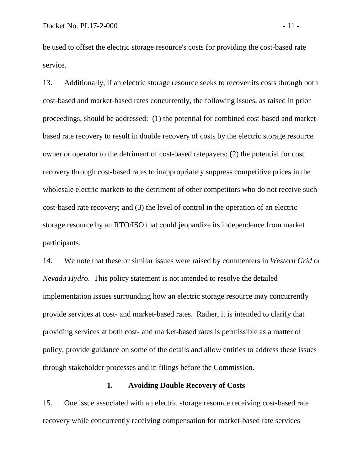be used to offset the electric storage resource's costs for providing the cost-based rate service.

13. Additionally, if an electric storage resource seeks to recover its costs through both cost-based and market-based rates concurrently, the following issues, as raised in prior proceedings, should be addressed: (1) the potential for combined cost-based and marketbased rate recovery to result in double recovery of costs by the electric storage resource owner or operator to the detriment of cost-based ratepayers; (2) the potential for cost recovery through cost-based rates to inappropriately suppress competitive prices in the wholesale electric markets to the detriment of other competitors who do not receive such cost-based rate recovery; and (3) the level of control in the operation of an electric storage resource by an RTO/ISO that could jeopardize its independence from market participants.

14. We note that these or similar issues were raised by commenters in *Western Grid* or *Nevada Hydro*. This policy statement is not intended to resolve the detailed implementation issues surrounding how an electric storage resource may concurrently provide services at cost- and market-based rates. Rather, it is intended to clarify that providing services at both cost- and market-based rates is permissible as a matter of policy, provide guidance on some of the details and allow entities to address these issues through stakeholder processes and in filings before the Commission.

#### **1. Avoiding Double Recovery of Costs**

15. One issue associated with an electric storage resource receiving cost-based rate recovery while concurrently receiving compensation for market-based rate services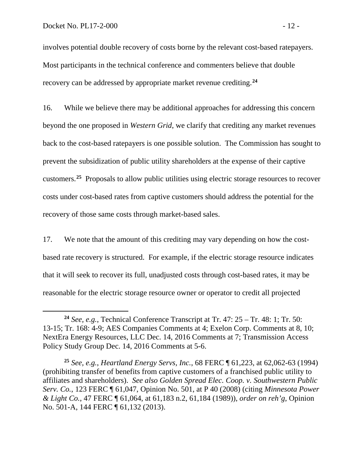involves potential double recovery of costs borne by the relevant cost-based ratepayers. Most participants in the technical conference and commenters believe that double recovery can be addressed by appropriate market revenue crediting.**[24](#page-13-0)**

16. While we believe there may be additional approaches for addressing this concern beyond the one proposed in *Western Grid*, we clarify that crediting any market revenues back to the cost-based ratepayers is one possible solution. The Commission has sought to prevent the subsidization of public utility shareholders at the expense of their captive customers.**[25](#page-13-1)** Proposals to allow public utilities using electric storage resources to recover costs under cost-based rates from captive customers should address the potential for the recovery of those same costs through market-based sales.

17. We note that the amount of this crediting may vary depending on how the costbased rate recovery is structured. For example, if the electric storage resource indicates that it will seek to recover its full, unadjusted costs through cost-based rates, it may be reasonable for the electric storage resource owner or operator to credit all projected

<span id="page-13-0"></span>**<sup>24</sup>** *See, e.g.*, Technical Conference Transcript at Tr. 47: 25 – Tr. 48: 1; Tr. 50: 13-15; Tr. 168: 4-9; AES Companies Comments at 4; Exelon Corp. Comments at 8, 10; NextEra Energy Resources, LLC Dec. 14, 2016 Comments at 7; Transmission Access Policy Study Group Dec. 14, 2016 Comments at 5-6.

<span id="page-13-1"></span>**<sup>25</sup>** *See, e.g.*, *Heartland Energy Servs, Inc.*, 68 FERC ¶ 61,223, at 62,062-63 (1994) (prohibiting transfer of benefits from captive customers of a franchised public utility to affiliates and shareholders). *See also Golden Spread Elec. Coop. v. Southwestern Public Serv. Co.*, 123 FERC ¶ 61,047, Opinion No. 501, at P 40 (2008) (citing *Minnesota Power & Light Co.*, 47 FERC ¶ 61,064, at 61,183 n.2, 61,184 (1989)), *order on reh'g*, Opinion No. 501-A, 144 FERC ¶ 61,132 (2013).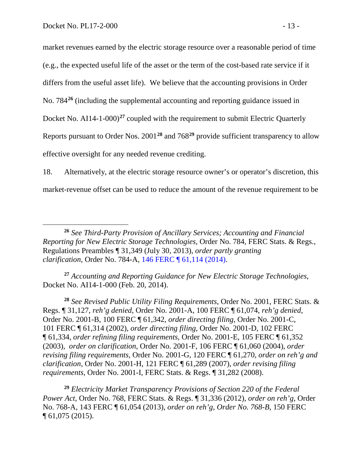market revenues earned by the electric storage resource over a reasonable period of time (e.g., the expected useful life of the asset or the term of the cost-based rate service if it differs from the useful asset life). We believe that the accounting provisions in Order No. 784**[26](#page-14-0)** (including the supplemental accounting and reporting guidance issued in Docket No. AI14-1-000)<sup>[27](#page-14-1)</sup> coupled with the requirement to submit Electric Quarterly Reports pursuant to Order Nos. 2001**[28](#page-14-2)** and 768**[29](#page-14-3)** provide sufficient transparency to allow effective oversight for any needed revenue crediting.

18. Alternatively, at the electric storage resource owner's or operator's discretion, this market-revenue offset can be used to reduce the amount of the revenue requirement to be

<span id="page-14-1"></span>**<sup>27</sup>** *Accounting and Reporting Guidance for New Electric Storage Technologies*, Docket No. AI14-1-000 (Feb. 20, 2014).

<span id="page-14-2"></span>**<sup>28</sup>** *See Revised Public Utility Filing Requirements*, Order No. 2001, FERC Stats. & Regs. ¶ 31,127, *reh'g denied*, Order No. 2001-A, 100 FERC ¶ 61,074, *reh'g denied*, Order No. 2001-B, 100 FERC ¶ 61,342, *order directing filing*, Order No. 2001-C, 101 FERC ¶ 61,314 (2002), *order directing filing*, Order No. 2001-D, 102 FERC ¶ 61,334, *order refining filing requirements*, Order No. 2001-E, 105 FERC ¶ 61,352 (2003), *order on clarification*, Order No. 2001-F, 106 FERC ¶ 61,060 (2004), *order revising filing requirements*, Order No. 2001-G, 120 FERC ¶ 61,270, *order on reh'g and clarification*, Order No. 2001-H, 121 FERC ¶ 61,289 (2007), *order revising filing requirements*, Order No. 2001-I, FERC Stats. & Regs. ¶ 31,282 (2008).

<span id="page-14-3"></span>**<sup>29</sup>** *Electricity Market Transparency Provisions of Section 220 of the Federal Power Act*, Order No. 768, FERC Stats. & Regs. ¶ 31,336 (2012), *order on reh'g*, Order No. 768-A, 143 FERC ¶ 61,054 (2013), *order on reh'g, Order No. 768-B*, 150 FERC ¶ 61,075 (2015).

<span id="page-14-0"></span>**<sup>26</sup>** *See Third-Party Provision of Ancillary Services; Accounting and Financial Reporting for New Electric Storage Technologies*, Order No. 784, FERC Stats. & Regs., Regulations Preambles ¶ 31,349 (July 30, 2013), *order partly granting clarification*, Order No. 784-A, [146 FERC ¶ 61,114 \(2014\).](https://1.next.westlaw.com/Link/Document/FullText?findType=Y&serNum=2032763612&pubNum=0000920&originatingDoc=I3a6655181e4111e4b86bd602cb8781fa&refType=CA&originationContext=document&transitionType=DocumentItem&contextData=(sc.Search))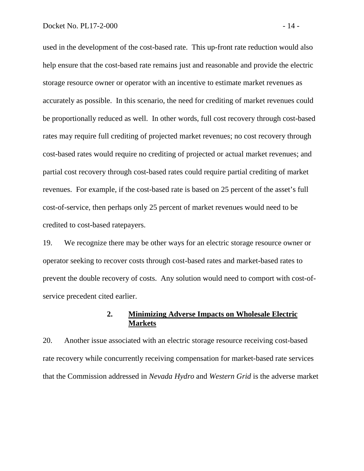used in the development of the cost-based rate. This up-front rate reduction would also help ensure that the cost-based rate remains just and reasonable and provide the electric storage resource owner or operator with an incentive to estimate market revenues as accurately as possible. In this scenario, the need for crediting of market revenues could be proportionally reduced as well. In other words, full cost recovery through cost-based rates may require full crediting of projected market revenues; no cost recovery through cost-based rates would require no crediting of projected or actual market revenues; and partial cost recovery through cost-based rates could require partial crediting of market revenues. For example, if the cost-based rate is based on 25 percent of the asset's full cost-of-service, then perhaps only 25 percent of market revenues would need to be credited to cost-based ratepayers.

19. We recognize there may be other ways for an electric storage resource owner or operator seeking to recover costs through cost-based rates and market-based rates to prevent the double recovery of costs. Any solution would need to comport with cost-ofservice precedent cited earlier.

# **2. Minimizing Adverse Impacts on Wholesale Electric Markets**

20. Another issue associated with an electric storage resource receiving cost-based rate recovery while concurrently receiving compensation for market-based rate services that the Commission addressed in *Nevada Hydro* and *Western Grid* is the adverse market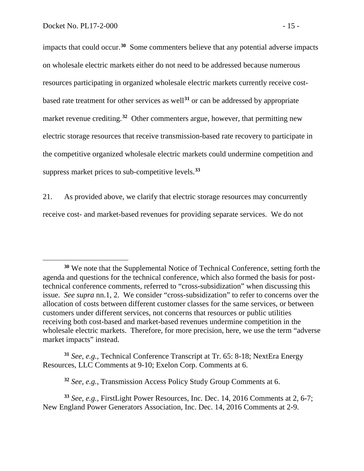impacts that could occur.**[30](#page-16-0)** Some commenters believe that any potential adverse impacts on wholesale electric markets either do not need to be addressed because numerous resources participating in organized wholesale electric markets currently receive costbased rate treatment for other services as well**[31](#page-16-1)** or can be addressed by appropriate market revenue crediting. **[32](#page-16-2)** Other commenters argue, however, that permitting new electric storage resources that receive transmission-based rate recovery to participate in the competitive organized wholesale electric markets could undermine competition and suppress market prices to sub-competitive levels. **[33](#page-16-3)**

21. As provided above, we clarify that electric storage resources may concurrently receive cost- and market-based revenues for providing separate services. We do not

**<sup>32</sup>** *See, e.g.*, Transmission Access Policy Study Group Comments at 6.

<span id="page-16-0"></span>**<sup>30</sup>** We note that the Supplemental Notice of Technical Conference, setting forth the agenda and questions for the technical conference, which also formed the basis for posttechnical conference comments, referred to "cross-subsidization" when discussing this issue. *See supra* nn.1, 2. We consider "cross-subsidization" to refer to concerns over the allocation of costs between different customer classes for the same services, or between customers under different services, not concerns that resources or public utilities receiving both cost-based and market-based revenues undermine competition in the wholesale electric markets. Therefore, for more precision, here, we use the term "adverse market impacts" instead.

<span id="page-16-1"></span>**<sup>31</sup>** *See, e.g.*, Technical Conference Transcript at Tr. 65: 8-18; NextEra Energy Resources, LLC Comments at 9-10; Exelon Corp. Comments at 6.

<span id="page-16-3"></span><span id="page-16-2"></span>**<sup>33</sup>** *See, e.g.*, FirstLight Power Resources, Inc. Dec. 14, 2016 Comments at 2, 6-7; New England Power Generators Association, Inc. Dec. 14, 2016 Comments at 2-9.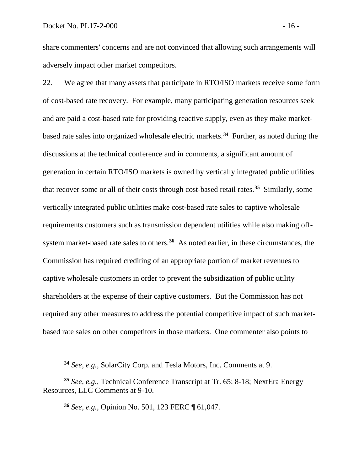share commenters' concerns and are not convinced that allowing such arrangements will adversely impact other market competitors.

22. We agree that many assets that participate in RTO/ISO markets receive some form of cost-based rate recovery. For example, many participating generation resources seek and are paid a cost-based rate for providing reactive supply, even as they make marketbased rate sales into organized wholesale electric markets.**[34](#page-17-0)** Further, as noted during the discussions at the technical conference and in comments, a significant amount of generation in certain RTO/ISO markets is owned by vertically integrated public utilities that recover some or all of their costs through cost-based retail rates.**[35](#page-17-1)** Similarly, some vertically integrated public utilities make cost-based rate sales to captive wholesale requirements customers such as transmission dependent utilities while also making offsystem market-based rate sales to others.**[36](#page-17-2)** As noted earlier, in these circumstances, the Commission has required crediting of an appropriate portion of market revenues to captive wholesale customers in order to prevent the subsidization of public utility shareholders at the expense of their captive customers. But the Commission has not required any other measures to address the potential competitive impact of such marketbased rate sales on other competitors in those markets. One commenter also points to

**<sup>36</sup>** *See, e.g.*, Opinion No. 501, 123 FERC ¶ 61,047.

**<sup>34</sup>** *See, e.g.*, SolarCity Corp. and Tesla Motors, Inc. Comments at 9.

<span id="page-17-2"></span><span id="page-17-1"></span><span id="page-17-0"></span>**<sup>35</sup>** *See, e.g.*, Technical Conference Transcript at Tr. 65: 8-18; NextEra Energy Resources, LLC Comments at 9-10.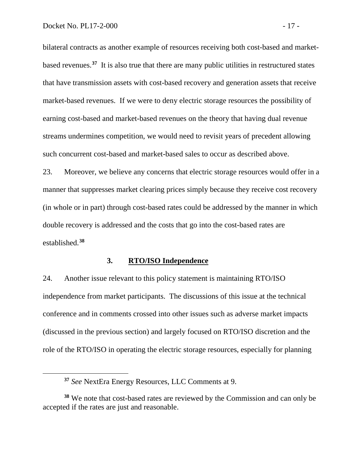bilateral contracts as another example of resources receiving both cost-based and marketbased revenues.**[37](#page-18-0)** It is also true that there are many public utilities in restructured states that have transmission assets with cost-based recovery and generation assets that receive market-based revenues. If we were to deny electric storage resources the possibility of earning cost-based and market-based revenues on the theory that having dual revenue streams undermines competition, we would need to revisit years of precedent allowing such concurrent cost-based and market-based sales to occur as described above.

23. Moreover, we believe any concerns that electric storage resources would offer in a manner that suppresses market clearing prices simply because they receive cost recovery (in whole or in part) through cost-based rates could be addressed by the manner in which double recovery is addressed and the costs that go into the cost-based rates are established. **[38](#page-18-1)**

#### **3. RTO/ISO Independence**

24. Another issue relevant to this policy statement is maintaining RTO/ISO independence from market participants. The discussions of this issue at the technical conference and in comments crossed into other issues such as adverse market impacts (discussed in the previous section) and largely focused on RTO/ISO discretion and the role of the RTO/ISO in operating the electric storage resources, especially for planning

**<sup>37</sup>** *See* NextEra Energy Resources, LLC Comments at 9.

<span id="page-18-1"></span><span id="page-18-0"></span>**<sup>38</sup>** We note that cost-based rates are reviewed by the Commission and can only be accepted if the rates are just and reasonable.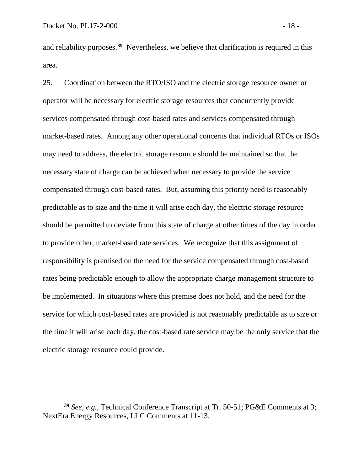and reliability purposes.**[39](#page-19-0)** Nevertheless, we believe that clarification is required in this area.

25. Coordination between the RTO/ISO and the electric storage resource owner or operator will be necessary for electric storage resources that concurrently provide services compensated through cost-based rates and services compensated through market-based rates. Among any other operational concerns that individual RTOs or ISOs may need to address, the electric storage resource should be maintained so that the necessary state of charge can be achieved when necessary to provide the service compensated through cost-based rates. But, assuming this priority need is reasonably predictable as to size and the time it will arise each day, the electric storage resource should be permitted to deviate from this state of charge at other times of the day in order to provide other, market-based rate services. We recognize that this assignment of responsibility is premised on the need for the service compensated through cost-based rates being predictable enough to allow the appropriate charge management structure to be implemented. In situations where this premise does not hold, and the need for the service for which cost-based rates are provided is not reasonably predictable as to size or the time it will arise each day, the cost-based rate service may be the only service that the electric storage resource could provide.

<span id="page-19-0"></span>**<sup>39</sup>** *See, e.g.*, Technical Conference Transcript at Tr. 50-51; PG&E Comments at 3; NextEra Energy Resources, LLC Comments at 11-13.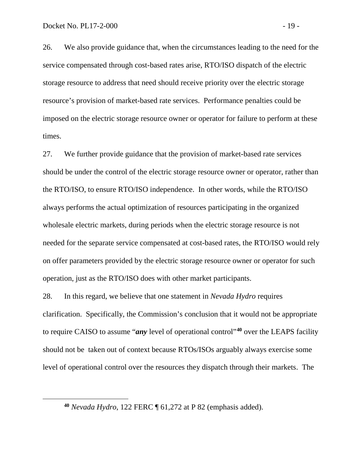26. We also provide guidance that, when the circumstances leading to the need for the service compensated through cost-based rates arise, RTO/ISO dispatch of the electric storage resource to address that need should receive priority over the electric storage resource's provision of market-based rate services. Performance penalties could be imposed on the electric storage resource owner or operator for failure to perform at these times.

27. We further provide guidance that the provision of market-based rate services should be under the control of the electric storage resource owner or operator, rather than the RTO/ISO, to ensure RTO/ISO independence. In other words, while the RTO/ISO always performs the actual optimization of resources participating in the organized wholesale electric markets, during periods when the electric storage resource is not needed for the separate service compensated at cost-based rates, the RTO/ISO would rely on offer parameters provided by the electric storage resource owner or operator for such operation, just as the RTO/ISO does with other market participants.

28. In this regard, we believe that one statement in *Nevada Hydro* requires clarification. Specifically, the Commission's conclusion that it would not be appropriate to require CAISO to assume "*any* level of operational control"**[40](#page-20-0)** over the LEAPS facility should not be taken out of context because RTOs/ISOs arguably always exercise some level of operational control over the resources they dispatch through their markets. The

<span id="page-20-0"></span>**<sup>40</sup>** *Nevada Hydro*, 122 FERC ¶ 61,272 at P 82 (emphasis added).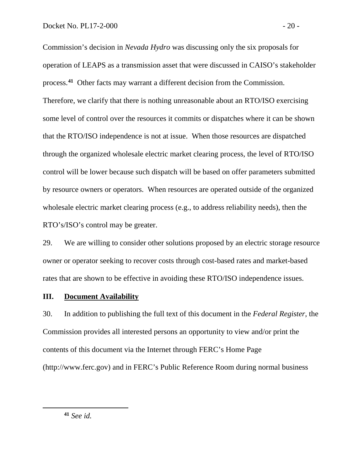Commission's decision in *Nevada Hydro* was discussing only the six proposals for operation of LEAPS as a transmission asset that were discussed in CAISO's stakeholder process. **[41](#page-21-0)** Other facts may warrant a different decision from the Commission. Therefore, we clarify that there is nothing unreasonable about an RTO/ISO exercising some level of control over the resources it commits or dispatches where it can be shown that the RTO/ISO independence is not at issue. When those resources are dispatched through the organized wholesale electric market clearing process, the level of RTO/ISO control will be lower because such dispatch will be based on offer parameters submitted by resource owners or operators. When resources are operated outside of the organized wholesale electric market clearing process (e.g., to address reliability needs), then the RTO's/ISO's control may be greater.

29. We are willing to consider other solutions proposed by an electric storage resource owner or operator seeking to recover costs through cost-based rates and market-based rates that are shown to be effective in avoiding these RTO/ISO independence issues.

# **III. Document Availability**

30. In addition to publishing the full text of this document in the *Federal Register*, the Commission provides all interested persons an opportunity to view and/or print the contents of this document via the Internet through FERC's Home Page (http://www.ferc.gov) and in FERC's Public Reference Room during normal business

<span id="page-21-0"></span>**<sup>41</sup>** *See id.*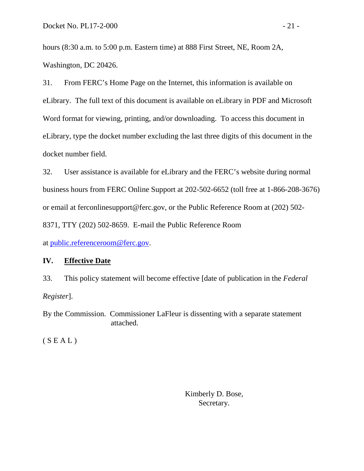hours (8:30 a.m. to 5:00 p.m. Eastern time) at 888 First Street, NE, Room 2A, Washington, DC 20426.

31. From FERC's Home Page on the Internet, this information is available on eLibrary. The full text of this document is available on eLibrary in PDF and Microsoft Word format for viewing, printing, and/or downloading. To access this document in eLibrary, type the docket number excluding the last three digits of this document in the docket number field.

32. User assistance is available for eLibrary and the FERC's website during normal business hours from FERC Online Support at 202-502-6652 (toll free at 1-866-208-3676) or email at ferconlinesupport@ferc.gov, or the Public Reference Room at (202) 502- 8371, TTY (202) 502-8659. E-mail the Public Reference Room

at [public.referenceroom@ferc.gov.](mailto:public.referenceroom@ferc.gov)

# **IV. Effective Date**

33. This policy statement will become effective [date of publication in the *Federal Register*].

By the Commission. Commissioner LaFleur is dissenting with a separate statement attached.

 $(S E A L)$ 

Kimberly D. Bose, Secretary.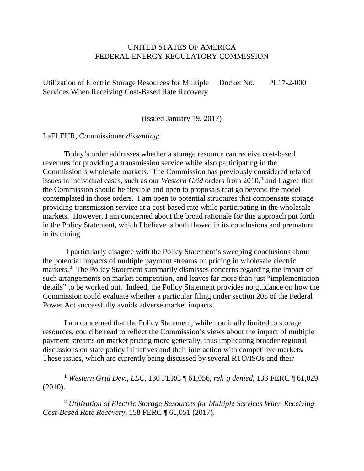## UNITED STATES OF AMERICA FEDERAL ENERGY REGULATORY COMMISSION

Utilization of Electric Storage Resources for Multiple Services When Receiving Cost-Based Rate Recovery Docket No. PL17-2-000

(Issued January 19, 2017)

LaFLEUR, Commissioner *dissenting*:

 $\overline{a}$ 

Today's order addresses whether a storage resource can receive cost-based revenues for providing a transmission service while also participating in the Commission's wholesale markets. The Commission has previously considered related issues in individual cases, such as our *Western Grid* orders from 2010,**[1](#page-23-0)** and I agree that the Commission should be flexible and open to proposals that go beyond the model contemplated in those orders. I am open to potential structures that compensate storage providing transmission service at a cost-based rate while participating in the wholesale markets. However, I am concerned about the broad rationale for this approach put forth in the Policy Statement, which I believe is both flawed in its conclusions and premature in its timing.

I particularly disagree with the Policy Statement's sweeping conclusions about the potential impacts of multiple payment streams on pricing in wholesale electric markets.<sup>[2](#page-23-1)</sup> The Policy Statement summarily dismisses concerns regarding the impact of such arrangements on market competition, and leaves far more than just "implementation details" to be worked out. Indeed, the Policy Statement provides no guidance on how the Commission could evaluate whether a particular filing under section 205 of the Federal Power Act successfully avoids adverse market impacts.

I am concerned that the Policy Statement, while nominally limited to storage resources, could be read to reflect the Commission's views about the impact of multiple payment streams on market pricing more generally, thus implicating broader regional discussions on state policy initiatives and their interaction with competitive markets. These issues, which are currently being discussed by several RTO/ISOs and their

<span id="page-23-0"></span>**<sup>1</sup>** *Western Grid Dev.*, *LLC*, 130 FERC ¶ 61,056, *reh'g denied*, 133 FERC ¶ 61,029 (2010).

<span id="page-23-1"></span>**<sup>2</sup>** *Utilization of Electric Storage Resources for Multiple Services When Receiving Cost-Based Rate Recovery*, 158 FERC ¶ 61,051 (2017).